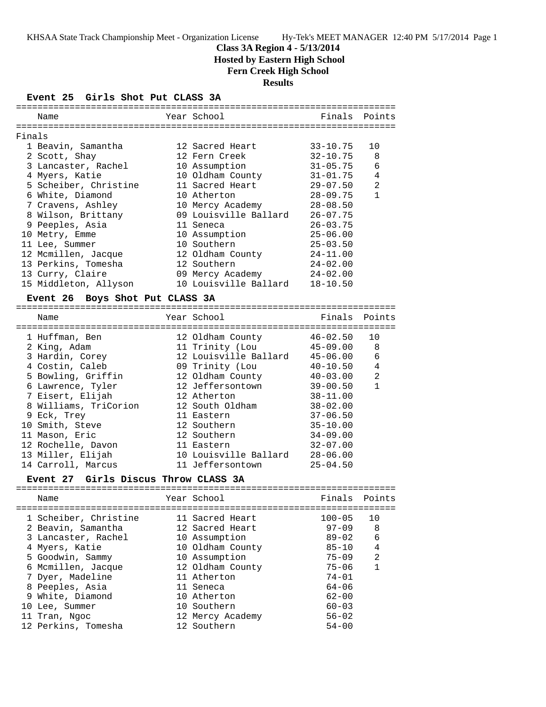KHSAA State Track Championship Meet - Organization License Hy-Tek's MEET MANAGER 12:40 PM 5/17/2014 Page 1

# **Class 3A Region 4 - 5/13/2014 Hosted by Eastern High School Fern Creek High School**

## **Results**

#### **Event 25 Girls Shot Put CLASS 3A**

|        | Name                  | Year School           | Finals       | Points |
|--------|-----------------------|-----------------------|--------------|--------|
| Finals |                       |                       |              |        |
|        | 1 Beavin, Samantha    | 12 Sacred Heart       | 33-10.75     | 10     |
|        | 2 Scott, Shay         | 12 Fern Creek         | $32 - 10.75$ | 8      |
|        | 3 Lancaster, Rachel   | 10 Assumption         | $31 - 05.75$ | 6      |
|        | 4 Myers, Katie        | 10 Oldham County      | $31 - 01.75$ | 4      |
|        | 5 Scheiber, Christine | 11 Sacred Heart       | $29 - 07.50$ | 2      |
|        | 6 White, Diamond      | 10 Atherton           | $28 - 09.75$ | 1      |
|        | 7 Cravens, Ashley     | 10 Mercy Academy      | $28 - 08.50$ |        |
|        | 8 Wilson, Brittany    | 09 Louisville Ballard | $26 - 07.75$ |        |
|        | 9 Peeples, Asia       | 11 Seneca             | $26 - 03.75$ |        |
|        | 10 Metry, Emme        | 10 Assumption         | $25 - 06.00$ |        |
|        | 11 Lee, Summer        | 10 Southern           | $25 - 03.50$ |        |
|        | 12 Mcmillen, Jacque   | 12 Oldham County      | $24 - 11.00$ |        |
|        | 13 Perkins, Tomesha   | 12 Southern           | $24 - 02.00$ |        |
|        | 13 Curry, Claire      | 09 Mercy Academy      | $24 - 02.00$ |        |
|        | 15 Middleton, Allyson | 10 Louisville Ballard | $18 - 10.50$ |        |
|        |                       |                       |              |        |

#### **Event 26 Boys Shot Put CLASS 3A**

======================================================================= Name Year School Finals Points ======================================================================= 1 Huffman, Ben 12 Oldham County 46-02.50 10 2 King, Adam 11 Trinity (Lou 45-09.00 8 3 Hardin, Corey 12 Louisville Ballard 45-06.00 6 4 Costin, Caleb 09 Trinity (Lou 40-10.50 4 5 Bowling, Griffin 12 Oldham County 40-03.00 2 6 Lawrence, Tyler 12 Jeffersontown 39-00.50 1 7 Eisert, Elijah 12 Atherton 38-11.00 8 Williams, TriCorion 12 South Oldham 38-02.00 9 Eck, Trey 11 Eastern 37-06.50 10 Smith, Steve 12 Southern 35-10.00 11 Mason, Eric 12 Southern 34-09.00 12 Rochelle, Davon 11 Eastern 32-07.00 13 Miller, Elijah 10 Louisville Ballard 28-06.00 14 Carroll, Marcus 11 Jeffersontown 25-04.50

## **Event 27 Girls Discus Throw CLASS 3A**

|  | Name                  | Year School      | Finals Points |                |
|--|-----------------------|------------------|---------------|----------------|
|  | 1 Scheiber, Christine | 11 Sacred Heart  | $100 - 05$    | 10             |
|  | 2 Beavin, Samantha    | 12 Sacred Heart  | $97 - 09$     | 8              |
|  | 3 Lancaster, Rachel   | 10 Assumption    | $89 - 02$     | 6              |
|  | 4 Myers, Katie        | 10 Oldham County | $85 - 10$     | 4              |
|  | 5 Goodwin, Sammy      | 10 Assumption    | $75 - 09$     | $\mathfrak{D}$ |
|  | 6 Mcmillen, Jacque    | 12 Oldham County | $75 - 06$     | 1              |
|  | 7 Dyer, Madeline      | 11 Atherton      | $74 - 01$     |                |
|  | 8 Peeples, Asia       | 11 Seneca        | $64 - 06$     |                |
|  | 9 White, Diamond      | 10 Atherton      | $62 - 00$     |                |
|  | 10 Lee, Summer        | 10 Southern      | $60 - 03$     |                |
|  | 11 Tran, Ngoc         | 12 Mercy Academy | $56 - 02$     |                |
|  | 12 Perkins, Tomesha   | 12 Southern      | $54 - 00$     |                |
|  |                       |                  |               |                |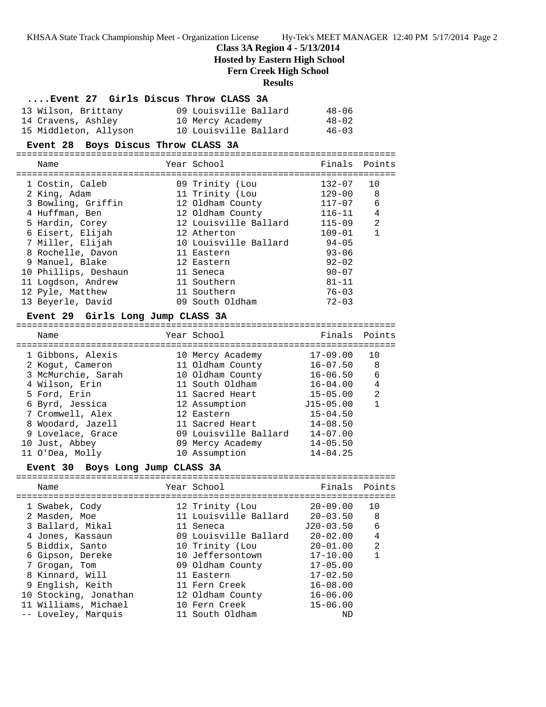KHSAA State Track Championship Meet - Organization License Hy-Tek's MEET MANAGER 12:40 PM 5/17/2014 Page 2

**Class 3A Region 4 - 5/13/2014**

 **Hosted by Eastern High School**

**Fern Creek High School**

**Results**

| Event 27 Girls Discus Throw CLASS 3A       |                       |              |                |
|--------------------------------------------|-----------------------|--------------|----------------|
| 13 Wilson, Brittany                        | 09 Louisville Ballard | $48 - 06$    |                |
| 14 Cravens, Ashley                         | 10 Mercy Academy      | $48 - 02$    |                |
| 15 Middleton, Allyson                      | 10 Louisville Ballard | $46 - 03$    |                |
| Event 28 Boys Discus Throw CLASS 3A        |                       |              |                |
| Name                                       | Year School           | Finals       | Points         |
| 1 Costin, Caleb                            | 09 Trinity (Lou       | $132 - 07$   | 10             |
| 2 King, Adam                               | 11 Trinity (Lou       | $129 - 00$   | 8              |
| 3 Bowling, Griffin                         | 12 Oldham County      | 117-07       | 6              |
| 4 Huffman, Ben                             | 12 Oldham County      | $116 - 11$   | 4              |
| 5 Hardin, Corey                            | 12 Louisville Ballard | 115-09       | 2              |
| 6 Eisert, Elijah                           | 12 Atherton           | $109 - 01$   | $\mathbf{1}$   |
| 7 Miller, Elijah                           | 10 Louisville Ballard | $94 - 05$    |                |
| 8 Rochelle, Davon                          | 11 Eastern            | $93 - 06$    |                |
| 9 Manuel, Blake                            | 12 Eastern            | $92 - 02$    |                |
| 10 Phillips, Deshaun                       | 11 Seneca             | $90 - 07$    |                |
| 11 Logdson, Andrew                         | 11 Southern           | 81-11        |                |
| 12 Pyle, Matthew                           | 11 Southern           | $76 - 03$    |                |
| 13 Beyerle, David                          | 09 South Oldham       | $72 - 03$    |                |
| Event 29 Girls Long Jump CLASS 3A          |                       |              |                |
| Name                                       | Year School           | Finals       | Points         |
|                                            |                       |              |                |
| 1 Gibbons, Alexis                          | 10 Mercy Academy      | $17 - 09.00$ | 10             |
| 2 Kogut, Cameron                           | 11 Oldham County      | 16-07.50     | 8              |
| 3 McMurchie, Sarah                         | 10 Oldham County      | $16 - 06.50$ | 6              |
| 4 Wilson, Erin                             | 11 South Oldham       | $16 - 04.00$ | 4              |
| 5 Ford, Erin                               | 11 Sacred Heart       | 15-05.00     | 2              |
| 6 Byrd, Jessica                            | 12 Assumption         | J15-05.00    | $\mathbf{1}$   |
| 7 Cromwell, Alex                           | 12 Eastern            | $15 - 04.50$ |                |
| 8 Woodard, Jazell                          | 11 Sacred Heart       | $14 - 08.50$ |                |
| 9 Lovelace, Grace                          | 09 Louisville Ballard | $14 - 07.00$ |                |
| 10 Just, Abbey                             | 09 Mercy Academy      | $14 - 05.50$ |                |
| 11 O'Dea, Molly                            | 10 Assumption         | $14 - 04.25$ |                |
| Boys Long Jump CLASS 3A<br><b>Event 30</b> |                       |              |                |
| Name                                       | Year School           | Finals       | Points         |
|                                            |                       |              |                |
| 1 Swabek, Cody                             | 12 Trinity (Lou       | $20 - 09.00$ | 10             |
| 2 Masden, Moe                              | 11 Louisville Ballard | $20 - 03.50$ | 8              |
| 3 Ballard, Mikal                           | 11 Seneca             | $J20-03.50$  | 6              |
| 4 Jones, Kassaun                           | 09 Louisville Ballard | $20 - 02.00$ | $\overline{4}$ |
| 5 Biddix, Santo                            | 10 Trinity (Lou       | $20 - 01.00$ | $\overline{c}$ |
| 6 Gipson, Dereke                           | 10 Jeffersontown      | $17 - 10.00$ | 1              |
| 7 Grogan, Tom                              | 09 Oldham County      | $17 - 05.00$ |                |
| 8 Kinnard, Will                            | 11 Eastern            | $17 - 02.50$ |                |
| 9 English, Keith                           | 11 Fern Creek         | $16 - 08.00$ |                |
| 10 Stocking, Jonathan                      | 12 Oldham County      | $16 - 06.00$ |                |
| 11 Williams, Michael                       | 10 Fern Creek         | $15 - 06.00$ |                |

-- Loveley, Marquis 11 South Oldham ND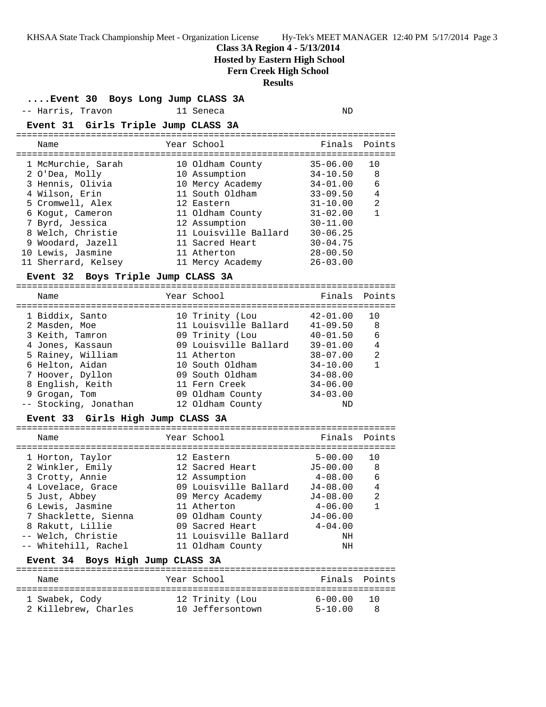**Hosted by Eastern High School**

KHSAA State Track Championship Meet - Organization License Hy-Tek's MEET MANAGER 12:40 PM 5/17/2014 Page 3 **Class 3A Region 4 - 5/13/2014 Fern Creek High School Results ....Event 30 Boys Long Jump CLASS 3A** -- Harris, Travon 11 Seneca ND **Event 31 Girls Triple Jump CLASS 3A** ======================================================================= Name The Year School The Finals Points ======================================================================= 1 McMurchie, Sarah 10 Oldham County 35-06.00 10 2 O'Dea, Molly 10 Assumption 34-10.50 8 3 Hennis, Olivia 10 Mercy Academy 34-01.00 6 4 Wilson, Erin 11 South Oldham 33-09.50 4 5 Cromwell, Alex 12 Eastern 31-10.00 2 6 Kogut, Cameron 11 Oldham County 31-02.00 1 7 Byrd, Jessica 12 Assumption 30-11.00 8 Welch, Christie 11 Louisville Ballard 30-06.25 9 Woodard, Jazell 11 Sacred Heart 30-04.75 10 Lewis, Jasmine 11 Atherton 28-00.50 11 Sherrard, Kelsey 11 Mercy Academy 26-03.00 **Event 32 Boys Triple Jump CLASS 3A** ======================================================================= Name Year School Finals Points ======================================================================= 1 Biddix, Santo 10 Trinity (Lou 42-01.00 10 2 Masden, Moe 11 Louisville Ballard 41-09.50 8 3 Keith, Tamron 09 Trinity (Lou 40-01.50 6 4 Jones, Kassaun 09 Louisville Ballard 39-01.00 4 5 Rainey, William 11 Atherton 38-07.00 2 6 Helton, Aidan 10 South Oldham 34-10.00 1 7 Hoover, Dyllon 09 South Oldham 34-08.00 8 English, Keith 11 Fern Creek 34-06.00 9 Grogan, Tom 09 Oldham County 34-03.00 -- Stocking, Jonathan 12 Oldham County ND **Event 33 Girls High Jump CLASS 3A** ======================================================================= Name The Year School The Finals Points ======================================================================= 1 Horton, Taylor 12 Eastern 5-00.00 10 2 Winkler, Emily 12 Sacred Heart J5-00.00 8 3 Crotty, Annie 12 Assumption 4-08.00 6 4 Lovelace, Grace 09 Louisville Ballard J4-08.00 4 5 Just, Abbey 09 Mercy Academy J4-08.00 2 6 Lewis, Jasmine 11 Atherton 4-06.00 1 7 Shacklette, Sienna 09 Oldham County J4-06.00 8 Rakutt, Lillie 09 Sacred Heart 4-04.00 -- Welch, Christie 11 Louisville Ballard NH -- Whitehill, Rachel 11 Oldham County NH

#### **Event 34 Boys High Jump CLASS 3A**

| Name                 | Year School      | Finals Points |       |
|----------------------|------------------|---------------|-------|
| 1 Swabek, Cody       | 12 Trinity (Lou  | 6-00.00       | ່ 1 N |
| 2 Killebrew, Charles | 10 Jeffersontown | $5 - 10.00$   | - 8   |